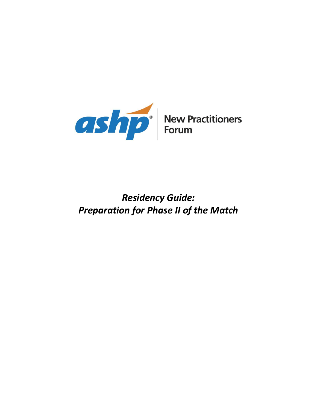

## *Residency Guide: Preparation for Phase II of the Match*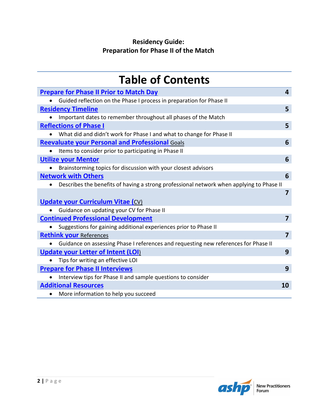### **Residency Guide: Preparation for Phase II of the Match**

| <b>Table of Contents</b>                                                                 |                         |
|------------------------------------------------------------------------------------------|-------------------------|
| <b>Prepare for Phase II Prior to Match Day</b>                                           | 4                       |
| Guided reflection on the Phase I process in preparation for Phase II                     |                         |
| <b>Residency Timeline</b>                                                                | 5                       |
| Important dates to remember throughout all phases of the Match<br>$\bullet$              |                         |
| <b>Reflections of Phase I</b>                                                            | 5                       |
| What did and didn't work for Phase I and what to change for Phase II                     |                         |
| <b>Reevaluate your Personal and Professional Goals</b>                                   | 6                       |
| Items to consider prior to participating in Phase II                                     |                         |
| <b>Utilize your Mentor</b>                                                               | 6                       |
| Brainstorming topics for discussion with your closest advisors                           |                         |
| <b>Network with Others</b>                                                               | 6                       |
| Describes the benefits of having a strong professional network when applying to Phase II |                         |
|                                                                                          | $\overline{7}$          |
| <b>Update your Curriculum Vitae (CV)</b>                                                 |                         |
| Guidance on updating your CV for Phase II                                                |                         |
| <b>Continued Professional Development</b>                                                | $\overline{\mathbf{z}}$ |
| Suggestions for gaining additional experiences prior to Phase II                         |                         |
| <b>Rethink your References</b>                                                           | $\overline{7}$          |
| • Guidance on assessing Phase I references and requesting new references for Phase II    |                         |
| <b>Update your Letter of Intent (LOI)</b>                                                | 9                       |
| Tips for writing an effective LOI                                                        |                         |
| <b>Prepare for Phase II Interviews</b>                                                   | 9                       |
| Interview tips for Phase II and sample questions to consider                             |                         |
| <b>Additional Resources</b>                                                              | 10                      |
| More information to help you succeed<br>$\bullet$                                        |                         |

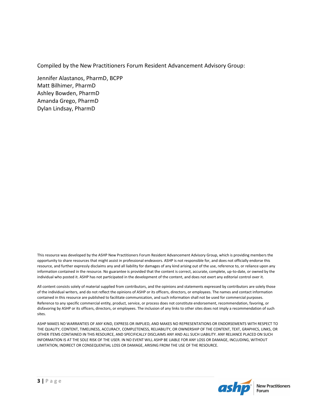Compiled by the New Practitioners Forum Resident Advancement Advisory Group:

Jennifer Alastanos, PharmD, BCPP Matt Bilhimer, PharmD Ashley Bowden, PharmD Amanda Grego, PharmD Dylan Lindsay, PharmD

This resource was developed by the ASHP New Practitioners Forum Resident Advancement Advisory Group, which is providing members the opportunity to share resources that might assist in professional endeavors. ASHP is not responsible for, and does not officially endorse this resource, and further expressly disclaims any and all liability for damages of any kind arising out of the use, reference to, or reliance upon any information contained in the resource. No guarantee is provided that the content is correct, accurate, complete, up-to-date, or owned by the individual who posted it. ASHP has not participated in the development of the content, and does not exert any editorial control over it.

All content consists solely of material supplied from contributors, and the opinions and statements expressed by contributors are solely those of the individual writers, and do not reflect the opinions of ASHP or its officers, directors, or employees. The names and contact information contained in this resource are published to facilitate communication, and such information shall not be used for commercial purposes. Reference to any specific commercial entity, product, service, or process does not constitute endorsement, recommendation, favoring, or disfavoring by ASHP or its officers, directors, or employees. The inclusion of any links to other sites does not imply a recommendation of such sites.

ASHP MAKES NO WARRANTIES OF ANY KIND, EXPRESS OR IMPLIED, AND MAKES NO REPRESENTATIONS OR ENDORSEMENTS WITH RESPECT TO THE QUALITY, CONTENT, TIMELINESS, ACCURACY, COMPLETENESS, RELIABILITY, OR OWNERSHIP OF THE CONTENT, TEXT, GRAPHICS, LINKS, OR OTHER ITEMS CONTAINED IN THIS RESOURCE, AND SPECIFICALLY DISCLAIMS ANY AND ALL SUCH LIABILITY. ANY RELIANCE PLACED ON SUCH INFORMATION IS AT THE SOLE RISK OF THE USER. IN NO EVENT WILL ASHP BE LIABLE FOR ANY LOSS OR DAMAGE, INCLUDING, WITHOUT LIMITATION, INDIRECT OR CONSEQUENTIAL LOSS OR DAMAGE, ARISING FROM THE USE OF THE RESOURCE.

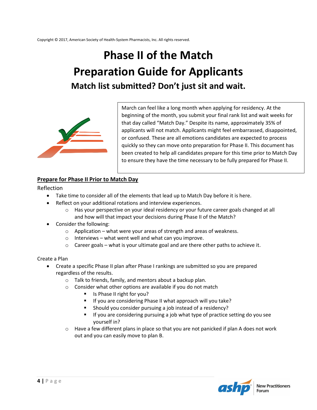# **Phase II of the Match Preparation Guide for Applicants Match list submitted? Don't just sit and wait.**



March can feel like a long month when applying for residency. At the beginning of the month, you submit your final rank list and wait weeks for that day called "Match Day." Despite its name, approximately 35% of applicants will not match. Applicants might feel embarrassed, disappointed, or confused. These are all emotions candidates are expected to process quickly so they can move onto preparation for Phase II. This document has been created to help all candidates prepare for this time prior to Match Day to ensure they have the time necessary to be fully prepared for Phase II.

#### <span id="page-3-0"></span>**Prepare for Phase II Prior to Match Day**

Reflection

- Take time to consider all of the elements that lead up to Match Day before it is here.
	- Reflect on your additional rotations and interview experiences.
		- $\circ$  Has your perspective on your ideal residency or your future career goals changed at all and how will that impact your decisions during Phase II of the Match?
- Consider the following:
	- o Application what were your areas of strength and areas of weakness.
	- $\circ$  Interviews what went well and what can you improve.
	- $\circ$  Career goals what is your ultimate goal and are there other paths to achieve it.

Create a Plan

- Create a specific Phase II plan after Phase I rankings are submitted so you are prepared regardless of the results.
	- o Talk to friends, family, and mentors about a backup plan.
	- o Consider what other options are available if you do not match
		- Is Phase II right for you?
		- If you are considering Phase II what approach will you take?
		- Should you consider pursuing a job instead of a residency?
		- If you are considering pursuing a job what type of practice setting do you see yourself in?
	- $\circ$  Have a few different plans in place so that you are not panicked if plan A does not work out and you can easily move to plan B.

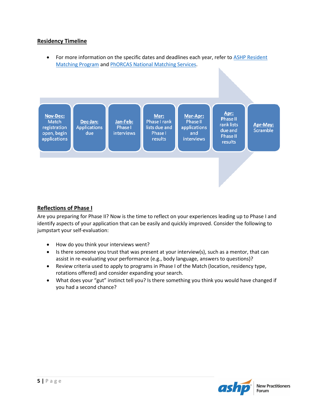#### <span id="page-4-0"></span>**Residency Timeline**

• For more information on the specific dates and deadlines each year, refer to ASHP Resident [Matching Program](https://www.natmatch.com/ashprmp/) and [PhORCAS National Matching Services.](https://portal.phorcas.org/)



#### <span id="page-4-1"></span>**Reflections of Phase I**

Are you preparing for Phase II? Now is the time to reflect on your experiences leading up to Phase I and identify aspects of your application that can be easily and quickly improved. Consider the following to jumpstart your self-evaluation:

- How do you think your interviews went?
- Is there someone you trust that was present at your interview(s), such as a mentor, that can assist in re-evaluating your performance (e.g., body language, answers to questions)?
- Review criteria used to apply to programs in Phase I of the Match (location, residency type, rotations offered) and consider expanding your search.
- <span id="page-4-2"></span> What does your "gut" instinct tell you? Is there something you think you would have changed if you had a second chance?

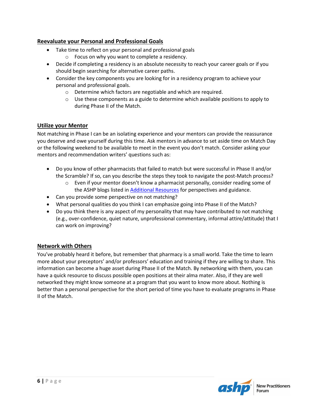#### **Reevaluate your Personal and Professional Goals**

- Take time to reflect on your personal and professional goals o Focus on why you want to complete a residency.
- Decide if completing a residency is an absolute necessity to reach your career goals or if you should begin searching for alternative career paths.
- Consider the key components you are looking for in a residency program to achieve your personal and professional goals.
	- o Determine which factors are negotiable and which are required.
	- $\circ$  Use these components as a guide to determine which available positions to apply to during Phase II of the Match.

#### <span id="page-5-0"></span>**Utilize your Mentor**

Not matching in Phase I can be an isolating experience and your mentors can provide the reassurance you deserve and owe yourself during this time. Ask mentors in advance to set aside time on Match Day or the following weekend to be available to meet in the event you don't match. Consider asking your mentors and recommendation writers' questions such as:

- Do you know of other pharmacists that failed to match but were successful in Phase II and/or the Scramble? If so, can you describe the steps they took to navigate the post-Match process?
	- $\circ$  Even if your mentor doesn't know a pharmacist personally, consider reading some of the ASHP blogs listed in **Additional Resources** for perspectives and guidance.
- Can you provide some perspective on not matching?
- What personal qualities do you think I can emphasize going into Phase II of the Match?
- Do you think there is any aspect of my personality that may have contributed to not matching (e.g., over-confidence, quiet nature, unprofessional commentary, informal attire/attitude) that I can work on improving?

#### <span id="page-5-1"></span>**Network with Others**

<span id="page-5-2"></span>You've probably heard it before, but remember that pharmacy is a small world. Take the time to learn more about your preceptors' and/or professors' education and training if they are willing to share. This information can become a huge asset during Phase II of the Match. By networking with them, you can have a quick resource to discuss possible open positions at their alma mater. Also, if they are well networked they might know someone at a program that you want to know more about. Nothing is better than a personal perspective for the short period of time you have to evaluate programs in Phase II of the Match.

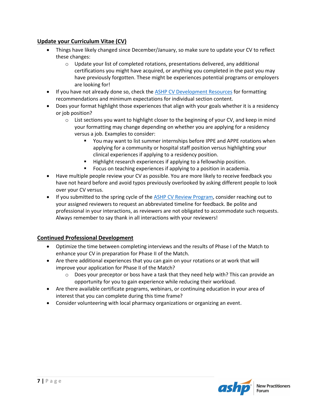#### **Update your Curriculum Vitae (CV)**

- Things have likely changed since December/January, so make sure to update your CV to reflect these changes:
	- $\circ$  Update your list of completed rotations, presentations delivered, any additional certifications you might have acquired, or anything you completed in the past you may have previously forgotten. These might be experiences potential programs or employers are looking for!
- If you have not already done so, check the ASHP CV [Development Resources](https://www.ashp.org/pharmacy-student/career-development/cv-development) for formatting recommendations and minimum expectations for individual section content.
- Does your format highlight those experiences that align with your goals whether it is a residency or job position?
	- $\circ$  List sections you want to highlight closer to the beginning of your CV, and keep in mind your formatting may change depending on whether you are applying for a residency versus a job. Examples to consider:
		- You may want to list summer internships before IPPE and APPE rotations when applying for a community or hospital staff position versus highlighting your clinical experiences if applying to a residency position.
		- Highlight research experiences if applying to a fellowship position.
		- **FICUM** Focus on teaching experiences if applying to a position in academia.
- Have multiple people review your CV as possible. You are more likely to receive feedback you have not heard before and avoid typos previously overlooked by asking different people to look over your CV versus.
- If you submitted to the spring cycle of the [ASHP CV Review Program,](https://www.ashp.org/pharmacy-student/career-development/cv-development) consider reaching out to your assigned reviewers to request an abbreviated timeline for feedback. Be polite and professional in your interactions, as reviewers are not obligated to accommodate such requests. Always remember to say thank in all interactions with your reviewers!

#### <span id="page-6-0"></span>**Continued Professional Development**

- Optimize the time between completing interviews and the results of Phase I of the Match to enhance your CV in preparation for Phase II of the Match.
- Are there additional experiences that you can gain on your rotations or at work that will improve your application for Phase II of the Match?
	- $\circ$  Does your preceptor or boss have a task that they need help with? This can provide an opportunity for you to gain experience while reducing their workload.
- Are there available certificate programs, webinars, or continuing education in your area of interest that you can complete during this time frame?
- <span id="page-6-1"></span>Consider volunteering with local pharmacy organizations or organizing an event.

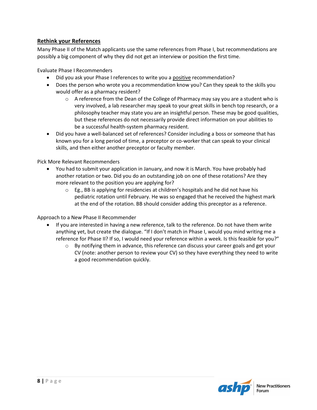#### **Rethink your References**

Many Phase II of the Match applicants use the same references from Phase I, but recommendations are possibly a big component of why they did not get an interview or position the first time.

Evaluate Phase I Recommenders

- Did you ask your Phase I references to write you a positive recommendation?
- Does the person who wrote you a recommendation know you? Can they speak to the skills you would offer as a pharmacy resident?
	- $\circ$  A reference from the Dean of the College of Pharmacy may say you are a student who is very involved, a lab researcher may speak to your great skills in bench top research, or a philosophy teacher may state you are an insightful person. These may be good qualities, but these references do not necessarily provide direct information on your abilities to be a successful health-system pharmacy resident.
- Did you have a well-balanced set of references? Consider including a boss or someone that has known you for a long period of time, a preceptor or co-worker that can speak to your clinical skills, and then either another preceptor or faculty member.

#### Pick More Relevant Recommenders

- You had to submit your application in January, and now it is March. You have probably had another rotation or two. Did you do an outstanding job on one of these rotations? Are they more relevant to the position you are applying for?
	- o Eg., BB is applying for residencies at children's hospitals and he did not have his pediatric rotation until February. He was so engaged that he received the highest mark at the end of the rotation. BB should consider adding this preceptor as a reference.

Approach to a New Phase II Recommender

- <span id="page-7-0"></span> If you are interested in having a new reference, talk to the reference. Do not have them write anything yet, but create the dialogue. "If I don't match in Phase I, would you mind writing me a reference for Phase II? If so, I would need your reference within a week. Is this feasible for you?"
	- $\circ$  By notifying them in advance, this reference can discuss your career goals and get your CV (note: another person to review your CV) so they have everything they need to write a good recommendation quickly.

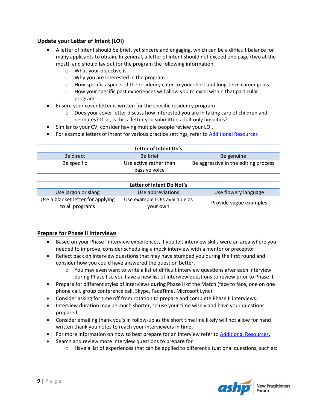#### **Update your Letter of Intent (LOI)**

- A letter of intent should be brief, yet sincere and engaging, which can be a difficult balance for many applicants to obtain. In general, a letter of intent should not exceed one page (two at the most), and should lay out for the program the following information:
	- o What your objective is.
	- o Why you are interested in the program.
	- $\circ$  How specific aspects of the residency cater to your short and long-term career goals.
	- $\circ$  How your specific past experiences will allow you to excel within that particular program.
- Ensure your cover letter is written for the specific residency program
	- $\circ$  Does your cover letter discuss how interested you are in taking care of children and neonates? If so, is this a letter you submitted adult only hospitals?
- Similar to your CV, consider having multiple people review your LOI.
- For example letters of intent for various practice settings, refer t[o Additional Resources](#page-9-0)

| Letter of Intent Do's             |                                         |                                      |  |  |
|-----------------------------------|-----------------------------------------|--------------------------------------|--|--|
| Be direct                         | Be brief                                | Be genuine                           |  |  |
| Be specific                       | Use active rather than<br>passive voice | Be aggressive in the editing process |  |  |
|                                   |                                         |                                      |  |  |
| Letter of Intent Do Not's         |                                         |                                      |  |  |
| Use jargon or slang               | Use abbreviations                       | Use flowery language                 |  |  |
| Use a blanket letter for applying | Use example LOIs available as           |                                      |  |  |

your own

#### <span id="page-8-0"></span>**Prepare for Phase II Interviews**

to all programs

- Based on your Phase I interview experiences, if you felt interview skills were an area where you needed to improve, consider scheduling a mock interview with a mentor or preceptor.
- Reflect back on interview questions that may have stumped you during the first round and consider how you could have answered the question better.
	- $\circ$  You may even want to write a list of difficult interview questions after each interview during Phase I so you have a new list of interview questions to review prior to Phase II.
- Prepare for different styles of interviews during Phase II of the Match (face to face, one on one phone call, group conference call, Skype, FaceTime, Microsoft Lync)
- Consider asking for time off from rotation to prepare and complete Phase II interviews.
- Interview duration may be much shorter, so use your time wisely and have your questions prepared.
- Consider emailing thank you's in follow-up as the short time line likely will not allow for hand written thank you notes to reach your interviewers in time.
- For more information on how to best prepare for an interview refer to [Additional Resources.](#page-9-0)
- Search and review more interview questions to prepare for
	- $\circ$  Have a list of experiences that can be applied to different situational questions, such as:



Provide vague examples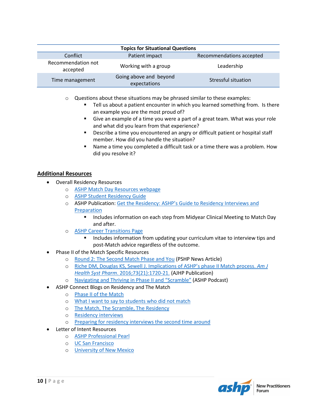| <b>Topics for Situational Questions</b> |                                        |                          |  |  |
|-----------------------------------------|----------------------------------------|--------------------------|--|--|
| Conflict                                | Patient impact                         | Recommendations accepted |  |  |
| Recommendation not<br>accepted          | Working with a group                   | Leadership               |  |  |
| Time management                         | Going above and beyond<br>expectations | Stressful situation      |  |  |

- $\circ$  Questions about these situations may be phrased similar to these examples:
	- Tell us about a patient encounter in which you learned something from. Is there an example you are the most proud of?
	- Give an example of a time you were a part of a great team. What was your role and what did you learn from that experience?
	- **Describe a time you encountered an angry or difficult patient or hospital staff** member. How did you handle the situation?
	- Name a time you completed a difficult task or a time there was a problem. How did you resolve it?

#### <span id="page-9-0"></span>**Additional Resources**

- Overall Residency Resources
	- o [ASHP Match Day Resources webpage](https://www.ashp.org/professional-development/residency-information/match-day-resources)
	- o ASHP [Student Residency Guide](https://www.ashp.org/professional-development/residency-information/student-residency-guide)
	- o ASHP Publication: [Get the Residency: ASHP's Guide to Residency Interviews and](https://store.ashp.org/Store/ProductListing/ProductDetails.aspx?productId=699280088)  **[Preparation](https://store.ashp.org/Store/ProductListing/ProductDetails.aspx?productId=699280088)** 
		- **Includes information on each step from Midyear Clinical Meeting to Match Day** and after.
	- o [ASHP Career Transitions Page](https://www.ashp.org/pharmacy-practice/resource-centers/career-transitions)
		- Includes information from updating your curriculum vitae to interview tips and post-Match advice regardless of the outcome.
- Phase II of the Match Specific Resources
	- o [Round 2: The Second Match Phase and You](http://www.pshp.org/news/301324/Student-Submission-Second-Round-Match.htm) (PSHP News Article)
	- o [Riche DM, Douglas KS, Sewell J. Implications of ASHP's phase II Match process.](http://www.ajhp.org/content/73/21/1720) *Am J Health Syst Pharm*[. 2016;73\(21\):1720-21.](http://www.ajhp.org/content/73/21/1720) (AJHP Publication)
	- o [Navigating and Thriving in Phase II](https://www.ashp.org/professional-development/ashp-podcasts/practice-journeys/2021/navigating-and-thriving-in-phase-2-and-the-scramble) and "Scramble" (ASHP Podcast)
- ASHP Connect Blogs on Residency and The Match
	- o [Phase II of the Match](http://connect.ashp.org/blogs/jasmine-reber/2016/04/22/phase-ii-matching-for-residency)
	- o [What I want to say to students who did not match](http://connect.ashp.org/blogs/timothy-aungst/2014/03/28/what-i-want-to-say-to-students-who-did-not-match)
	- o [The Match, The Scramble, The Residency](http://connect.ashp.org/blogs/ashley-overy/2012/04/04/the-match-the-scramble-the-residency)
	- o [Residency interviews](http://connect.ashp.org/blogs/jasmine-reber/2016/01/31/scheduling-residency-interviews)
	- o [Preparing for residency interviews the second time around](http://connect.ashp.org/blogs/norm-fenn/2015/02/01/preparing-for-residency-interviews-again)
- Letter of Intent Resources
	- o [ASHP Professional Pearl](https://www.ashp.org/-/media/assets/new-practitioner/docs/writing-a-letter-of-intent.pdf)
	- o [UC San Francisco](http://career.ucsf.edu/sites/career.ucsf.edu/files/PDF/PharmacyResidencyWritingALetterOfIntent.pdf)
	- o **[University of New Mexico](http://grad.unm.edu/resources/gs-forms/letter-of-intent.html)**